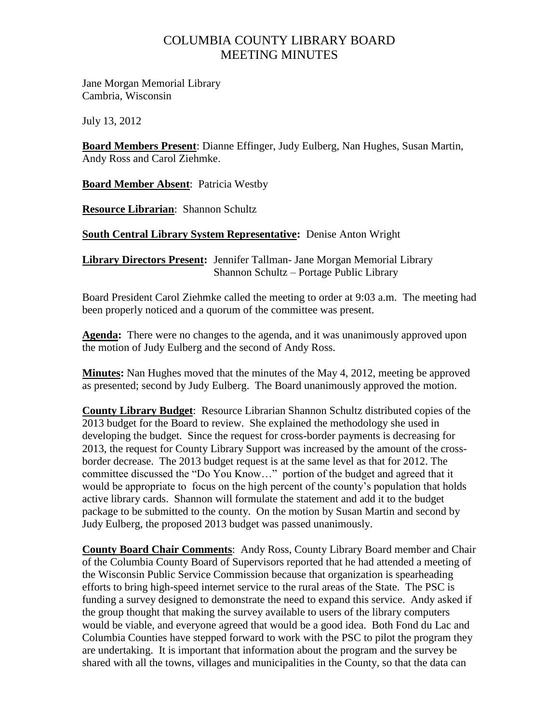## COLUMBIA COUNTY LIBRARY BOARD MEETING MINUTES

Jane Morgan Memorial Library Cambria, Wisconsin

July 13, 2012

**Board Members Present**: Dianne Effinger, Judy Eulberg, Nan Hughes, Susan Martin, Andy Ross and Carol Ziehmke.

**Board Member Absent**: Patricia Westby

**Resource Librarian**: Shannon Schultz

**South Central Library System Representative:** Denise Anton Wright

**Library Directors Present:** Jennifer Tallman- Jane Morgan Memorial Library Shannon Schultz – Portage Public Library

Board President Carol Ziehmke called the meeting to order at 9:03 a.m. The meeting had been properly noticed and a quorum of the committee was present.

**Agenda:** There were no changes to the agenda, and it was unanimously approved upon the motion of Judy Eulberg and the second of Andy Ross.

**Minutes:** Nan Hughes moved that the minutes of the May 4, 2012, meeting be approved as presented; second by Judy Eulberg. The Board unanimously approved the motion.

**County Library Budget**: Resource Librarian Shannon Schultz distributed copies of the 2013 budget for the Board to review. She explained the methodology she used in developing the budget. Since the request for cross-border payments is decreasing for 2013, the request for County Library Support was increased by the amount of the crossborder decrease. The 2013 budget request is at the same level as that for 2012. The committee discussed the "Do You Know…" portion of the budget and agreed that it would be appropriate to focus on the high percent of the county's population that holds active library cards. Shannon will formulate the statement and add it to the budget package to be submitted to the county. On the motion by Susan Martin and second by Judy Eulberg, the proposed 2013 budget was passed unanimously.

**County Board Chair Comments**: Andy Ross, County Library Board member and Chair of the Columbia County Board of Supervisors reported that he had attended a meeting of the Wisconsin Public Service Commission because that organization is spearheading efforts to bring high-speed internet service to the rural areas of the State. The PSC is funding a survey designed to demonstrate the need to expand this service. Andy asked if the group thought that making the survey available to users of the library computers would be viable, and everyone agreed that would be a good idea. Both Fond du Lac and Columbia Counties have stepped forward to work with the PSC to pilot the program they are undertaking. It is important that information about the program and the survey be shared with all the towns, villages and municipalities in the County, so that the data can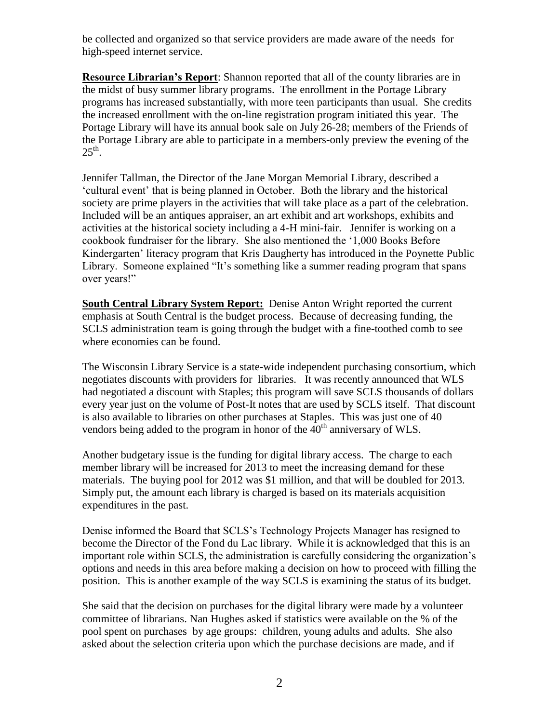be collected and organized so that service providers are made aware of the needs for high-speed internet service.

**Resource Librarian's Report**: Shannon reported that all of the county libraries are in the midst of busy summer library programs. The enrollment in the Portage Library programs has increased substantially, with more teen participants than usual. She credits the increased enrollment with the on-line registration program initiated this year. The Portage Library will have its annual book sale on July 26-28; members of the Friends of the Portage Library are able to participate in a members-only preview the evening of the  $25^{\text{th}}$ .

Jennifer Tallman, the Director of the Jane Morgan Memorial Library, described a 'cultural event' that is being planned in October. Both the library and the historical society are prime players in the activities that will take place as a part of the celebration. Included will be an antiques appraiser, an art exhibit and art workshops, exhibits and activities at the historical society including a 4-H mini-fair. Jennifer is working on a cookbook fundraiser for the library. She also mentioned the '1,000 Books Before Kindergarten' literacy program that Kris Daugherty has introduced in the Poynette Public Library. Someone explained "It's something like a summer reading program that spans over years!"

**South Central Library System Report:** Denise Anton Wright reported the current emphasis at South Central is the budget process. Because of decreasing funding, the SCLS administration team is going through the budget with a fine-toothed comb to see where economies can be found.

The Wisconsin Library Service is a state-wide independent purchasing consortium, which negotiates discounts with providers for libraries. It was recently announced that WLS had negotiated a discount with Staples; this program will save SCLS thousands of dollars every year just on the volume of Post-It notes that are used by SCLS itself. That discount is also available to libraries on other purchases at Staples. This was just one of 40 vendors being added to the program in honor of the  $40<sup>th</sup>$  anniversary of WLS.

Another budgetary issue is the funding for digital library access. The charge to each member library will be increased for 2013 to meet the increasing demand for these materials. The buying pool for 2012 was \$1 million, and that will be doubled for 2013. Simply put, the amount each library is charged is based on its materials acquisition expenditures in the past.

Denise informed the Board that SCLS's Technology Projects Manager has resigned to become the Director of the Fond du Lac library. While it is acknowledged that this is an important role within SCLS, the administration is carefully considering the organization's options and needs in this area before making a decision on how to proceed with filling the position. This is another example of the way SCLS is examining the status of its budget.

She said that the decision on purchases for the digital library were made by a volunteer committee of librarians. Nan Hughes asked if statistics were available on the % of the pool spent on purchases by age groups: children, young adults and adults. She also asked about the selection criteria upon which the purchase decisions are made, and if